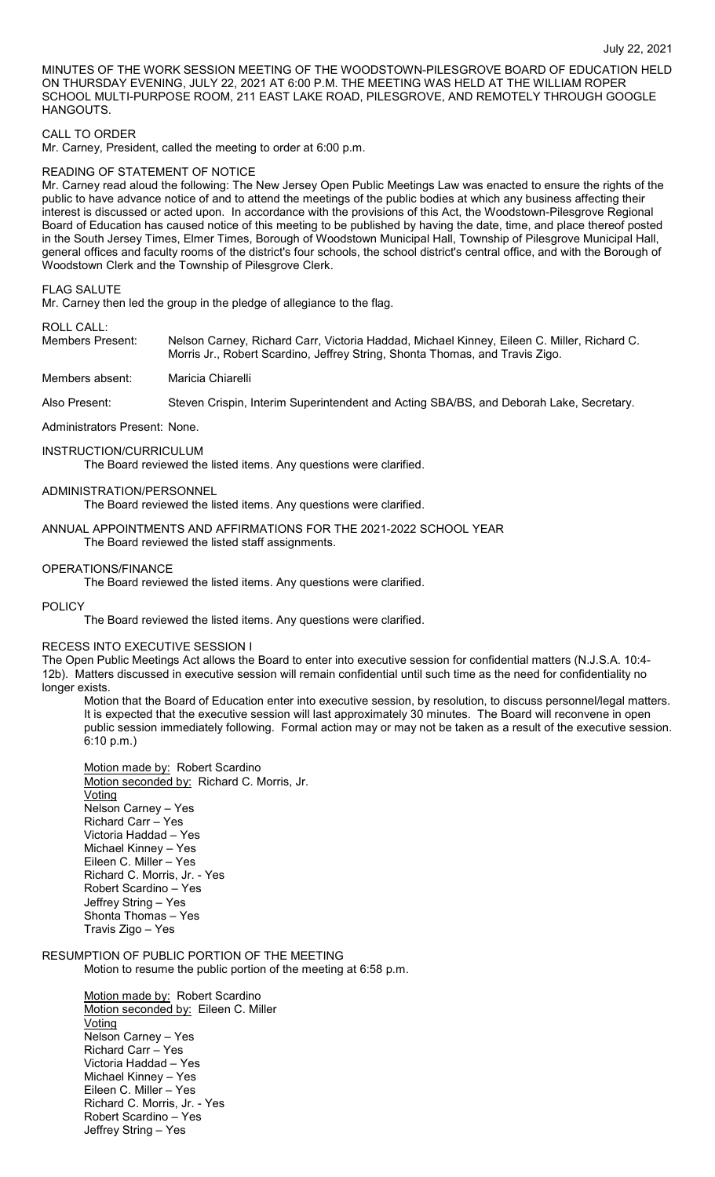MINUTES OF THE WORK SESSION MEETING OF THE WOODSTOWN-PILESGROVE BOARD OF EDUCATION HELD ON THURSDAY EVENING, JULY 22, 2021 AT 6:00 P.M. THE MEETING WAS HELD AT THE WILLIAM ROPER SCHOOL MULTI-PURPOSE ROOM, 211 EAST LAKE ROAD, PILESGROVE, AND REMOTELY THROUGH GOOGLE HANGOUTS.

## CALL TO ORDER

Mr. Carney, President, called the meeting to order at 6:00 p.m.

## READING OF STATEMENT OF NOTICE

Mr. Carney read aloud the following: The New Jersey Open Public Meetings Law was enacted to ensure the rights of the public to have advance notice of and to attend the meetings of the public bodies at which any business affecting their interest is discussed or acted upon. In accordance with the provisions of this Act, the Woodstown-Pilesgrove Regional Board of Education has caused notice of this meeting to be published by having the date, time, and place thereof posted in the South Jersey Times, Elmer Times, Borough of Woodstown Municipal Hall, Township of Pilesgrove Municipal Hall, general offices and faculty rooms of the district's four schools, the school district's central office, and with the Borough of Woodstown Clerk and the Township of Pilesgrove Clerk.

#### FLAG SALUTE

Mr. Carney then led the group in the pledge of allegiance to the flag.

### ROLL CALL:

| Members Present: | Nelson Carney, Richard Carr, Victoria Haddad, Michael Kinney, Eileen C. Miller, Richard C. |
|------------------|--------------------------------------------------------------------------------------------|
|                  | Morris Jr., Robert Scardino, Jeffrey String, Shonta Thomas, and Travis Zigo.               |

#### Members absent: Maricia Chiarelli

Also Present: Steven Crispin, Interim Superintendent and Acting SBA/BS, and Deborah Lake, Secretary.

#### Administrators Present: None.

#### INSTRUCTION/CURRICULUM

The Board reviewed the listed items. Any questions were clarified.

### ADMINISTRATION/PERSONNEL

The Board reviewed the listed items. Any questions were clarified.

## ANNUAL APPOINTMENTS AND AFFIRMATIONS FOR THE 2021-2022 SCHOOL YEAR The Board reviewed the listed staff assignments.

#### OPERATIONS/FINANCE

The Board reviewed the listed items. Any questions were clarified.

#### POLICY

The Board reviewed the listed items. Any questions were clarified.

## RECESS INTO EXECUTIVE SESSION I

The Open Public Meetings Act allows the Board to enter into executive session for confidential matters (N.J.S.A. 10:4- 12b). Matters discussed in executive session will remain confidential until such time as the need for confidentiality no longer exists.

Motion that the Board of Education enter into executive session, by resolution, to discuss personnel/legal matters. It is expected that the executive session will last approximately 30 minutes. The Board will reconvene in open public session immediately following. Formal action may or may not be taken as a result of the executive session. 6:10 p.m.)

Motion made by: Robert Scardino Motion seconded by: Richard C. Morris, Jr. **Voting** Nelson Carney – Yes Richard Carr – Yes Victoria Haddad – Yes Michael Kinney – Yes Eileen C. Miller – Yes Richard C. Morris, Jr. - Yes Robert Scardino – Yes Jeffrey String – Yes Shonta Thomas – Yes Travis Zigo – Yes

## RESUMPTION OF PUBLIC PORTION OF THE MEETING Motion to resume the public portion of the meeting at 6:58 p.m.

Motion made by: Robert Scardino Motion seconded by: Eileen C. Miller **Voting** Nelson Carney – Yes Richard Carr – Yes Victoria Haddad – Yes Michael Kinney – Yes Eileen C. Miller – Yes Richard C. Morris, Jr. - Yes Robert Scardino – Yes Jeffrey String – Yes